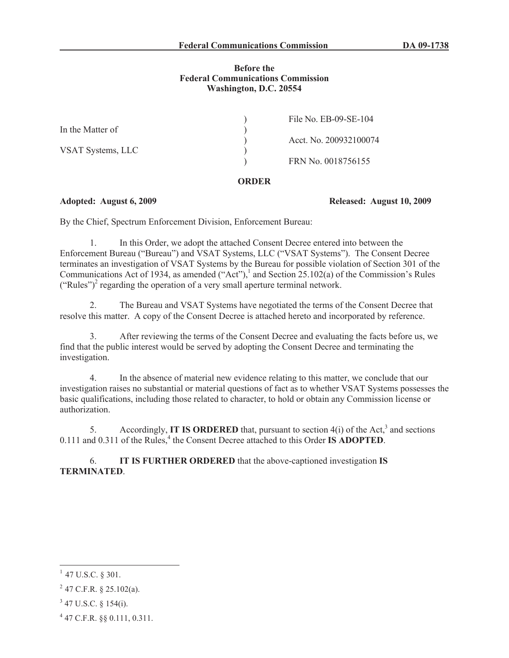#### **Before the Federal Communications Commission Washington, D.C. 20554**

| In the Matter of  | File No. EB-09-SE-104  |
|-------------------|------------------------|
|                   | Acct. No. 200932100074 |
| VSAT Systems, LLC | FRN No. 0018756155     |

#### **ORDER**

**Adopted: August 6, 2009 Released: August 10, 2009** 

By the Chief, Spectrum Enforcement Division, Enforcement Bureau:

1. In this Order, we adopt the attached Consent Decree entered into between the Enforcement Bureau ("Bureau") and VSAT Systems, LLC ("VSAT Systems"). The Consent Decree terminates an investigation of VSAT Systems by the Bureau for possible violation of Section 301 of the Communications Act of 1934, as amended ("Act"),<sup>1</sup> and Section 25.102(a) of the Commission's Rules ("Rules")<sup>2</sup> regarding the operation of a very small aperture terminal network.

2. The Bureau and VSAT Systems have negotiated the terms of the Consent Decree that resolve this matter. A copy of the Consent Decree is attached hereto and incorporated by reference.

3. After reviewing the terms of the Consent Decree and evaluating the facts before us, we find that the public interest would be served by adopting the Consent Decree and terminating the investigation.

4. In the absence of material new evidence relating to this matter, we conclude that our investigation raises no substantial or material questions of fact as to whether VSAT Systems possesses the basic qualifications, including those related to character, to hold or obtain any Commission license or authorization.

5. Accordingly, **IT IS ORDERED** that, pursuant to section  $4(i)$  of the Act,<sup>3</sup> and sections 0.111 and 0.311 of the Rules,<sup>4</sup> the Consent Decree attached to this Order **IS ADOPTED**.

6. **IT IS FURTHER ORDERED** that the above-captioned investigation **IS TERMINATED**.

 $1$  47 U.S.C. § 301.

 $2$  47 C.F.R. § 25.102(a).

 $3$  47 U.S.C. § 154(i).

<sup>4</sup> 47 C.F.R. §§ 0.111, 0.311.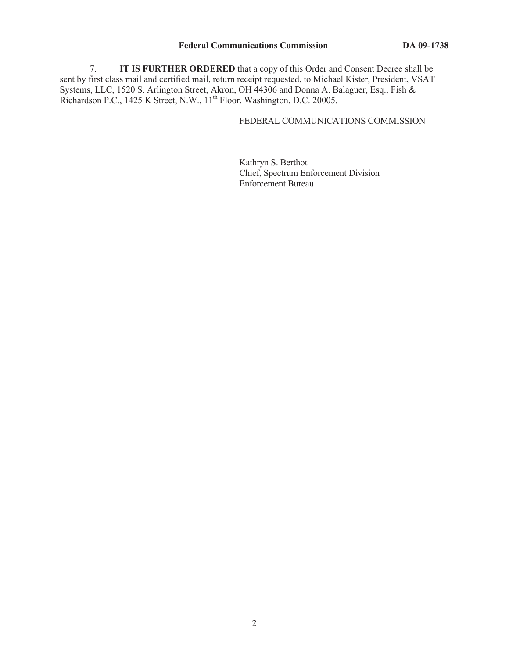7. **IT IS FURTHER ORDERED** that a copy of this Order and Consent Decree shall be sent by first class mail and certified mail, return receipt requested, to Michael Kister, President, VSAT Systems, LLC, 1520 S. Arlington Street, Akron, OH 44306 and Donna A. Balaguer, Esq., Fish & Richardson P.C., 1425 K Street, N.W., 11<sup>th</sup> Floor, Washington, D.C. 20005.

# FEDERAL COMMUNICATIONS COMMISSION

Kathryn S. Berthot Chief, Spectrum Enforcement Division Enforcement Bureau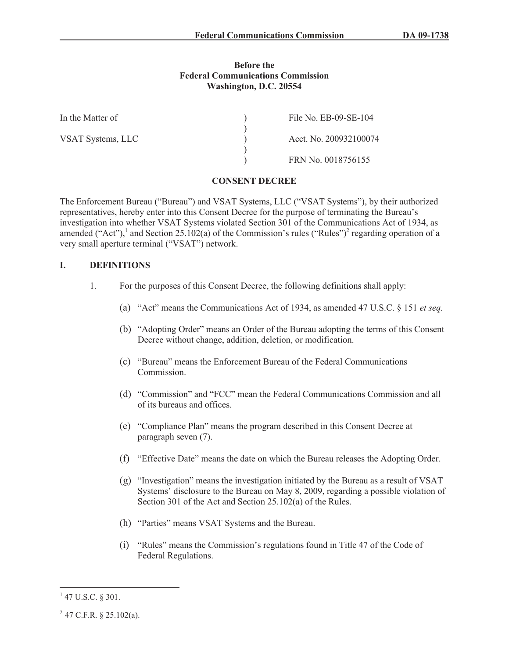## **Before the Federal Communications Commission Washington, D.C. 20554**

| In the Matter of  | File No. EB-09-SE-104  |
|-------------------|------------------------|
| VSAT Systems, LLC | Acct. No. 200932100074 |
|                   | FRN No. 0018756155     |

## **CONSENT DECREE**

The Enforcement Bureau ("Bureau") and VSAT Systems, LLC ("VSAT Systems"), by their authorized representatives, hereby enter into this Consent Decree for the purpose of terminating the Bureau's investigation into whether VSAT Systems violated Section 301 of the Communications Act of 1934, as amended ("Act"),<sup>1</sup> and Section 25.102(a) of the Commission's rules ("Rules")<sup>2</sup> regarding operation of a very small aperture terminal ("VSAT") network.

## **I. DEFINITIONS**

- 1. For the purposes of this Consent Decree, the following definitions shall apply:
	- (a) "Act" means the Communications Act of 1934, as amended 47 U.S.C. § 151 *et seq.*
	- (b) "Adopting Order" means an Order of the Bureau adopting the terms of this Consent Decree without change, addition, deletion, or modification.
	- (c) "Bureau" means the Enforcement Bureau of the Federal Communications **Commission**
	- (d) "Commission" and "FCC" mean the Federal Communications Commission and all of its bureaus and offices.
	- (e) "Compliance Plan" means the program described in this Consent Decree at paragraph seven (7).
	- (f) "Effective Date" means the date on which the Bureau releases the Adopting Order.
	- (g) "Investigation" means the investigation initiated by the Bureau as a result of VSAT Systems' disclosure to the Bureau on May 8, 2009, regarding a possible violation of Section 301 of the Act and Section 25.102(a) of the Rules.
	- (h) "Parties" means VSAT Systems and the Bureau.
	- (i) "Rules" means the Commission's regulations found in Title 47 of the Code of Federal Regulations.

 $1$  47 U.S.C. § 301.

 $^{2}$  47 C.F.R. § 25.102(a).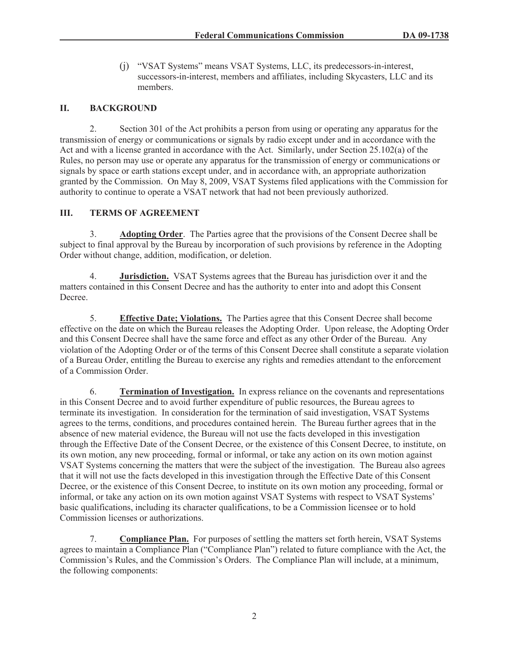(j) "VSAT Systems" means VSAT Systems, LLC, its predecessors-in-interest, successors-in-interest, members and affiliates, including Skycasters, LLC and its members.

# **II. BACKGROUND**

2. Section 301 of the Act prohibits a person from using or operating any apparatus for the transmission of energy or communications or signals by radio except under and in accordance with the Act and with a license granted in accordance with the Act. Similarly, under Section 25.102(a) of the Rules, no person may use or operate any apparatus for the transmission of energy or communications or signals by space or earth stations except under, and in accordance with, an appropriate authorization granted by the Commission. On May 8, 2009, VSAT Systems filed applications with the Commission for authority to continue to operate a VSAT network that had not been previously authorized.

## **III. TERMS OF AGREEMENT**

3. **Adopting Order**. The Parties agree that the provisions of the Consent Decree shall be subject to final approval by the Bureau by incorporation of such provisions by reference in the Adopting Order without change, addition, modification, or deletion.

4. **Jurisdiction.** VSAT Systems agrees that the Bureau has jurisdiction over it and the matters contained in this Consent Decree and has the authority to enter into and adopt this Consent Decree.

5. **Effective Date; Violations.** The Parties agree that this Consent Decree shall become effective on the date on which the Bureau releases the Adopting Order. Upon release, the Adopting Order and this Consent Decree shall have the same force and effect as any other Order of the Bureau. Any violation of the Adopting Order or of the terms of this Consent Decree shall constitute a separate violation of a Bureau Order, entitling the Bureau to exercise any rights and remedies attendant to the enforcement of a Commission Order.

6. **Termination of Investigation.** In express reliance on the covenants and representations in this Consent Decree and to avoid further expenditure of public resources, the Bureau agrees to terminate its investigation. In consideration for the termination of said investigation, VSAT Systems agrees to the terms, conditions, and procedures contained herein. The Bureau further agrees that in the absence of new material evidence, the Bureau will not use the facts developed in this investigation through the Effective Date of the Consent Decree, or the existence of this Consent Decree, to institute, on its own motion, any new proceeding, formal or informal, or take any action on its own motion against VSAT Systems concerning the matters that were the subject of the investigation. The Bureau also agrees that it will not use the facts developed in this investigation through the Effective Date of this Consent Decree, or the existence of this Consent Decree, to institute on its own motion any proceeding, formal or informal, or take any action on its own motion against VSAT Systems with respect to VSAT Systems' basic qualifications, including its character qualifications, to be a Commission licensee or to hold Commission licenses or authorizations.

7. **Compliance Plan.** For purposes of settling the matters set forth herein, VSAT Systems agrees to maintain a Compliance Plan ("Compliance Plan") related to future compliance with the Act, the Commission's Rules, and the Commission's Orders. The Compliance Plan will include, at a minimum, the following components: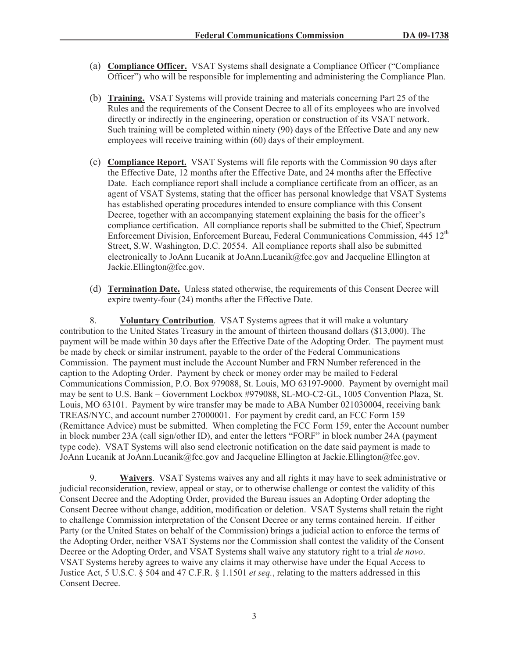- (a) **Compliance Officer.** VSAT Systems shall designate a Compliance Officer ("Compliance Officer") who will be responsible for implementing and administering the Compliance Plan.
- (b) **Training.** VSAT Systems will provide training and materials concerning Part 25 of the Rules and the requirements of the Consent Decree to all of its employees who are involved directly or indirectly in the engineering, operation or construction of its VSAT network. Such training will be completed within ninety (90) days of the Effective Date and any new employees will receive training within (60) days of their employment.
- (c) **Compliance Report.** VSAT Systems will file reports with the Commission 90 days after the Effective Date, 12 months after the Effective Date, and 24 months after the Effective Date. Each compliance report shall include a compliance certificate from an officer, as an agent of VSAT Systems, stating that the officer has personal knowledge that VSAT Systems has established operating procedures intended to ensure compliance with this Consent Decree, together with an accompanying statement explaining the basis for the officer's compliance certification. All compliance reports shall be submitted to the Chief, Spectrum Enforcement Division, Enforcement Bureau, Federal Communications Commission, 445 12<sup>th</sup> Street, S.W. Washington, D.C. 20554. All compliance reports shall also be submitted electronically to JoAnn Lucanik at JoAnn.Lucanik@fcc.gov and Jacqueline Ellington at Jackie.Ellington@fcc.gov.
- (d) **Termination Date.** Unless stated otherwise, the requirements of this Consent Decree will expire twenty-four (24) months after the Effective Date.

8. **Voluntary Contribution**. VSAT Systems agrees that it will make a voluntary contribution to the United States Treasury in the amount of thirteen thousand dollars (\$13,000). The payment will be made within 30 days after the Effective Date of the Adopting Order. The payment must be made by check or similar instrument, payable to the order of the Federal Communications Commission. The payment must include the Account Number and FRN Number referenced in the caption to the Adopting Order. Payment by check or money order may be mailed to Federal Communications Commission, P.O. Box 979088, St. Louis, MO 63197-9000. Payment by overnight mail may be sent to U.S. Bank – Government Lockbox #979088, SL-MO-C2-GL, 1005 Convention Plaza, St. Louis, MO 63101. Payment by wire transfer may be made to ABA Number 021030004, receiving bank TREAS/NYC, and account number 27000001. For payment by credit card, an FCC Form 159 (Remittance Advice) must be submitted. When completing the FCC Form 159, enter the Account number in block number 23A (call sign/other ID), and enter the letters "FORF" in block number 24A (payment type code). VSAT Systems will also send electronic notification on the date said payment is made to JoAnn Lucanik at JoAnn.Lucanik@fcc.gov and Jacqueline Ellington at Jackie.Ellington@fcc.gov.

9. **Waivers**. VSAT Systems waives any and all rights it may have to seek administrative or judicial reconsideration, review, appeal or stay, or to otherwise challenge or contest the validity of this Consent Decree and the Adopting Order, provided the Bureau issues an Adopting Order adopting the Consent Decree without change, addition, modification or deletion. VSAT Systems shall retain the right to challenge Commission interpretation of the Consent Decree or any terms contained herein. If either Party (or the United States on behalf of the Commission) brings a judicial action to enforce the terms of the Adopting Order, neither VSAT Systems nor the Commission shall contest the validity of the Consent Decree or the Adopting Order, and VSAT Systems shall waive any statutory right to a trial *de novo*. VSAT Systems hereby agrees to waive any claims it may otherwise have under the Equal Access to Justice Act, 5 U.S.C. § 504 and 47 C.F.R. § 1.1501 *et seq.*, relating to the matters addressed in this Consent Decree.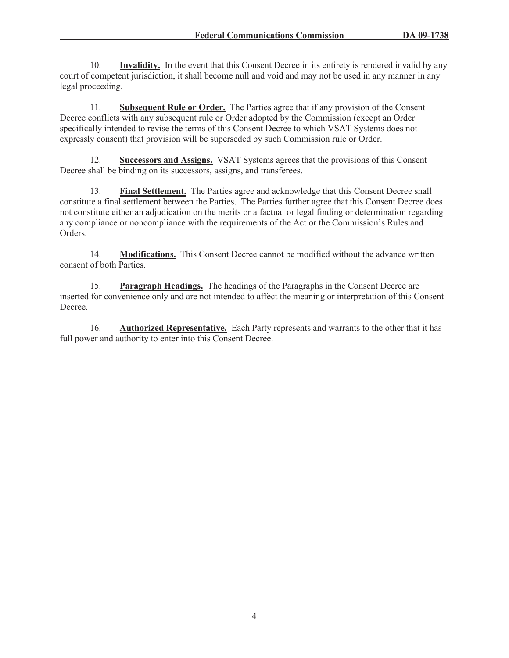10. **Invalidity.** In the event that this Consent Decree in its entirety is rendered invalid by any court of competent jurisdiction, it shall become null and void and may not be used in any manner in any legal proceeding.

11. **Subsequent Rule or Order.** The Parties agree that if any provision of the Consent Decree conflicts with any subsequent rule or Order adopted by the Commission (except an Order specifically intended to revise the terms of this Consent Decree to which VSAT Systems does not expressly consent) that provision will be superseded by such Commission rule or Order.

12. **Successors and Assigns.** VSAT Systems agrees that the provisions of this Consent Decree shall be binding on its successors, assigns, and transferees.

13. **Final Settlement.** The Parties agree and acknowledge that this Consent Decree shall constitute a final settlement between the Parties. The Parties further agree that this Consent Decree does not constitute either an adjudication on the merits or a factual or legal finding or determination regarding any compliance or noncompliance with the requirements of the Act or the Commission's Rules and Orders.

14. **Modifications.** This Consent Decree cannot be modified without the advance written consent of both Parties.

15. **Paragraph Headings.** The headings of the Paragraphs in the Consent Decree are inserted for convenience only and are not intended to affect the meaning or interpretation of this Consent Decree.

16. **Authorized Representative.** Each Party represents and warrants to the other that it has full power and authority to enter into this Consent Decree.